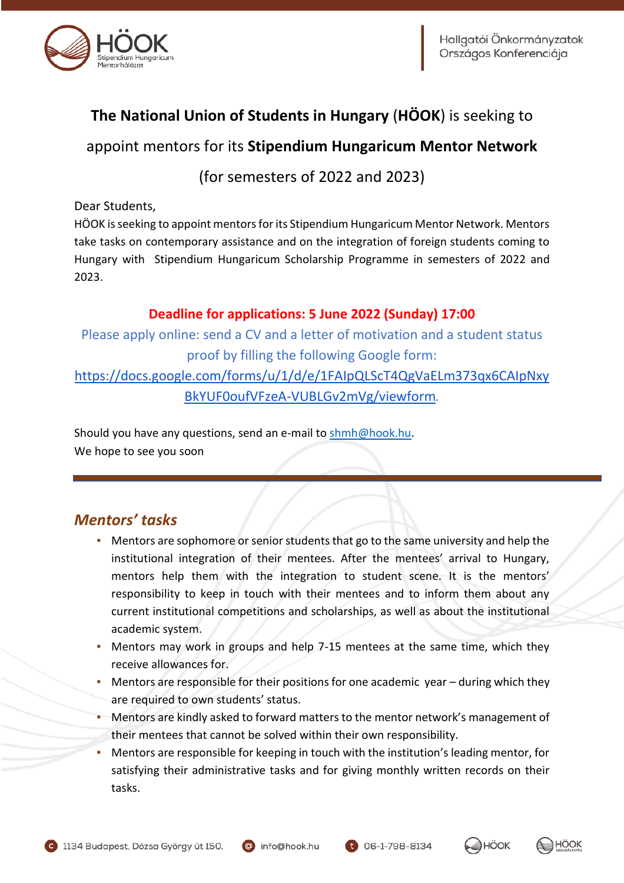

# **The National Union of Students in Hungary** (**HÖOK**) is seeking to

## appoint mentors for its **Stipendium Hungaricum Mentor Network**

(for semesters of 2022 and 2023)

Dear Students,

HÖOK is seeking to appoint mentors for its Stipendium Hungaricum Mentor Network. Mentors take tasks on contemporary assistance and on the integration of foreign students coming to Hungary with Stipendium Hungaricum Scholarship Programme in semesters of 2022 and 2023.

#### **Deadline for applications: 5 June 2022 (Sunday) 17:00**

Please apply online: send a CV and a letter of motivation and a student status proof by filling the following Google form:

[https://docs.google.com/forms/u/1/d/e/1FAIpQLScT4QgVaELm373qx6CAIpNxy](https://docs.google.com/forms/u/1/d/e/1FAIpQLScT4QgVaELm373qx6CAIpNxyBkYUF0oufVFzeA-VUBLGv2mVg/viewform) [BkYUF0oufVFzeA-VUBLGv2mVg/viewform](https://docs.google.com/forms/u/1/d/e/1FAIpQLScT4QgVaELm373qx6CAIpNxyBkYUF0oufVFzeA-VUBLGv2mVg/viewform)*.*

Should you have any questions, send an e-mail to [shmh@hook.hu.](mailto:shmh@hook.hu) We hope to see you soon

## *Mentors' tasks*

- **Mentors are sophomore or senior students that go to the same university and help the** institutional integration of their mentees. After the mentees' arrival to Hungary, mentors help them with the integration to student scene. It is the mentors' responsibility to keep in touch with their mentees and to inform them about any current institutional competitions and scholarships, as well as about the institutional academic system.
- **Mentors may work in groups and help 7-15 mentees at the same time, which they** receive allowances for.
- Mentors are responsible for their positions for one academic year  $-$  during which they are required to own students' status.
- Mentors are kindly asked to forward matters to the mentor network's management of their mentees that cannot be solved within their own responsibility.
- Mentors are responsible for keeping in touch with the institution's leading mentor, for satisfying their administrative tasks and for giving monthly written records on their tasks.